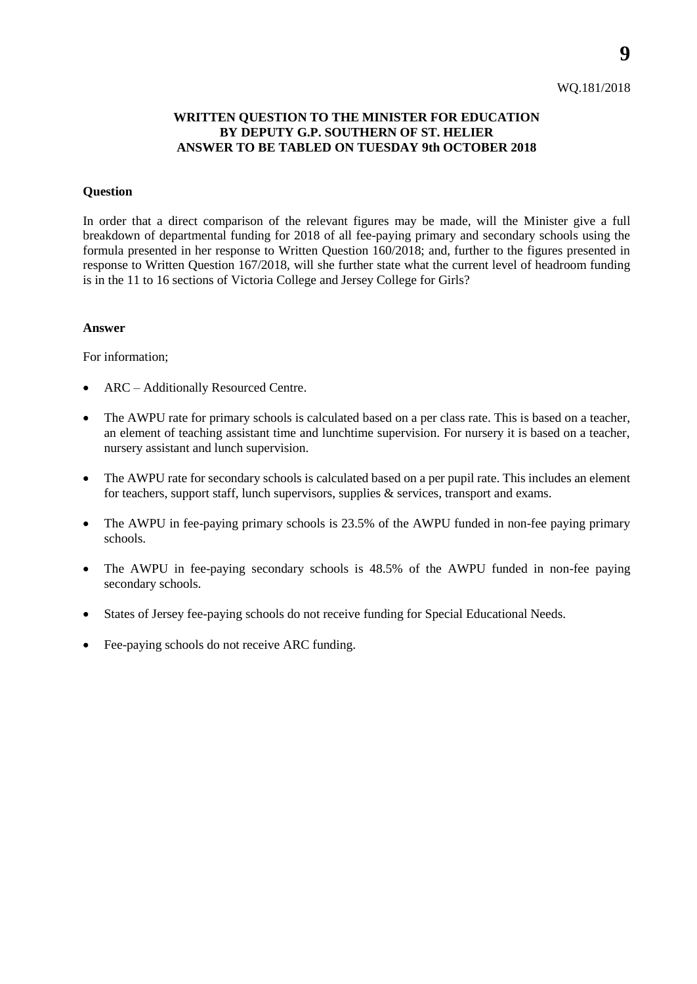### WQ.181/2018

### **WRITTEN QUESTION TO THE MINISTER FOR EDUCATION BY DEPUTY G.P. SOUTHERN OF ST. HELIER ANSWER TO BE TABLED ON TUESDAY 9th OCTOBER 2018**

### **Question**

In order that a direct comparison of the relevant figures may be made, will the Minister give a full breakdown of departmental funding for 2018 of all fee-paying primary and secondary schools using the formula presented in her response to Written Question 160/2018; and, further to the figures presented in response to Written Question 167/2018, will she further state what the current level of headroom funding is in the 11 to 16 sections of Victoria College and Jersey College for Girls?

#### **Answer**

For information;

- ARC Additionally Resourced Centre.
- The AWPU rate for primary schools is calculated based on a per class rate. This is based on a teacher, an element of teaching assistant time and lunchtime supervision. For nursery it is based on a teacher, nursery assistant and lunch supervision.
- The AWPU rate for secondary schools is calculated based on a per pupil rate. This includes an element for teachers, support staff, lunch supervisors, supplies & services, transport and exams.
- The AWPU in fee-paying primary schools is 23.5% of the AWPU funded in non-fee paying primary schools.
- The AWPU in fee-paying secondary schools is 48.5% of the AWPU funded in non-fee paying secondary schools.
- States of Jersey fee-paying schools do not receive funding for Special Educational Needs.
- Fee-paying schools do not receive ARC funding.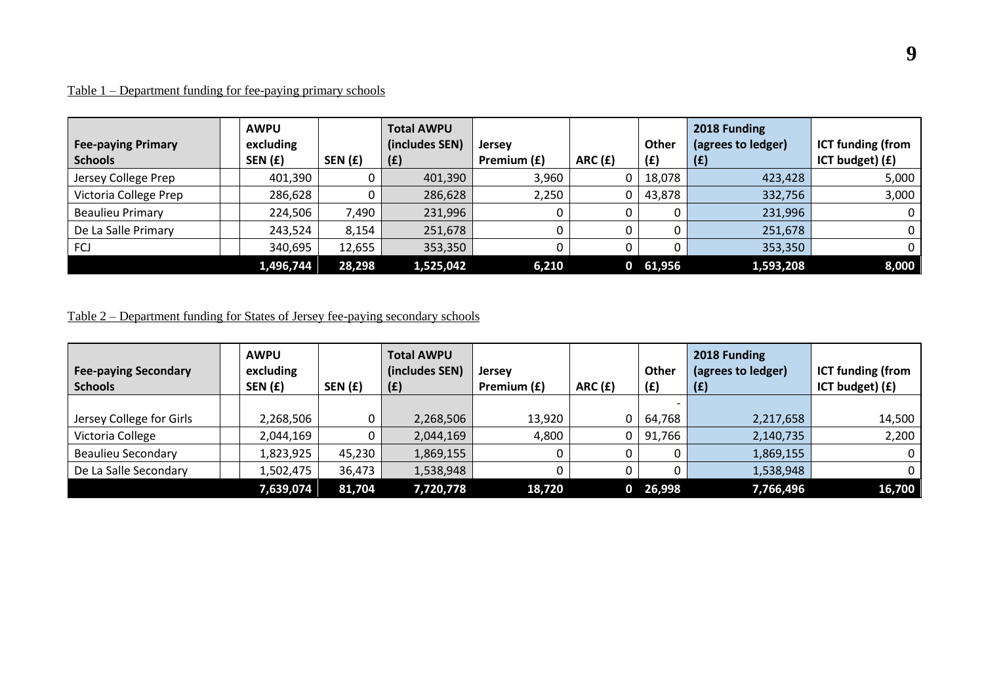# Table 1 – Department funding for fee-paying primary schools

| <b>Fee-paying Primary</b><br><b>Schools</b> | <b>AWPU</b><br>excluding<br>SEN (£) | SEN(f) | <b>Total AWPU</b><br>(includes SEN)<br>(f) | <b>Jersey</b><br>Premium (£) | ARC(f) | <b>Other</b><br>(f) | 2018 Funding<br>(agrees to ledger)<br>(f) | <b>ICT funding (from</b><br>ICT budget) (£) |
|---------------------------------------------|-------------------------------------|--------|--------------------------------------------|------------------------------|--------|---------------------|-------------------------------------------|---------------------------------------------|
| Jersey College Prep                         | 401,390                             |        | 401,390                                    | 3,960                        | 0      | 18,078              | 423,428                                   | 5,000                                       |
| Victoria College Prep                       | 286,628                             | 0      | 286,628                                    | 2,250                        | 0      | 43,878              | 332,756                                   | 3,000                                       |
| <b>Beaulieu Primary</b>                     | 224,506                             | 7,490  | 231,996                                    |                              |        |                     | 231,996                                   | 0.                                          |
| De La Salle Primary                         | 243,524                             | 8,154  | 251,678                                    |                              |        |                     | 251,678                                   |                                             |
| FCJ                                         | 340,695                             | 12,655 | 353,350                                    |                              |        |                     | 353,350                                   |                                             |
|                                             | 1,496,744                           | 28,298 | 1,525,042                                  | 6,210                        | 0      | 61,956              | 1,593,208                                 | 8,000                                       |

# Table 2 – Department funding for States of Jersey fee-paying secondary schools

| <b>Fee-paying Secondary</b><br><b>Schools</b> | <b>AWPU</b><br>excluding<br>SEN (£) | SEN(E) | <b>Total AWPU</b><br>(includes SEN)<br>(E) | <b>Jersey</b><br>Premium (£) | ARC(f) | Other<br>(E) | 2018 Funding<br>(agrees to ledger)<br>(£) | <b>ICT funding (from</b><br>ICT budget) (£) |
|-----------------------------------------------|-------------------------------------|--------|--------------------------------------------|------------------------------|--------|--------------|-------------------------------------------|---------------------------------------------|
|                                               |                                     |        |                                            |                              |        |              |                                           |                                             |
| Jersey College for Girls                      | 2,268,506                           |        | 2,268,506                                  | 13,920                       | 0      | 64,768       | 2,217,658                                 | 14,500                                      |
| Victoria College                              | 2,044,169                           |        | 2,044,169                                  | 4,800                        | 0      | 91,766       | 2,140,735                                 | 2,200                                       |
| <b>Beaulieu Secondary</b>                     | 1,823,925                           | 45,230 | 1,869,155                                  |                              |        |              | 1,869,155                                 | 0                                           |
| De La Salle Secondary                         | 1,502,475                           | 36,473 | 1,538,948                                  |                              |        |              | 1,538,948                                 | 0                                           |
|                                               | 7,639,074                           | 81,704 | 7,720,778                                  | 18,720                       | 0      | 26,998       | 7,766,496                                 | 16,700                                      |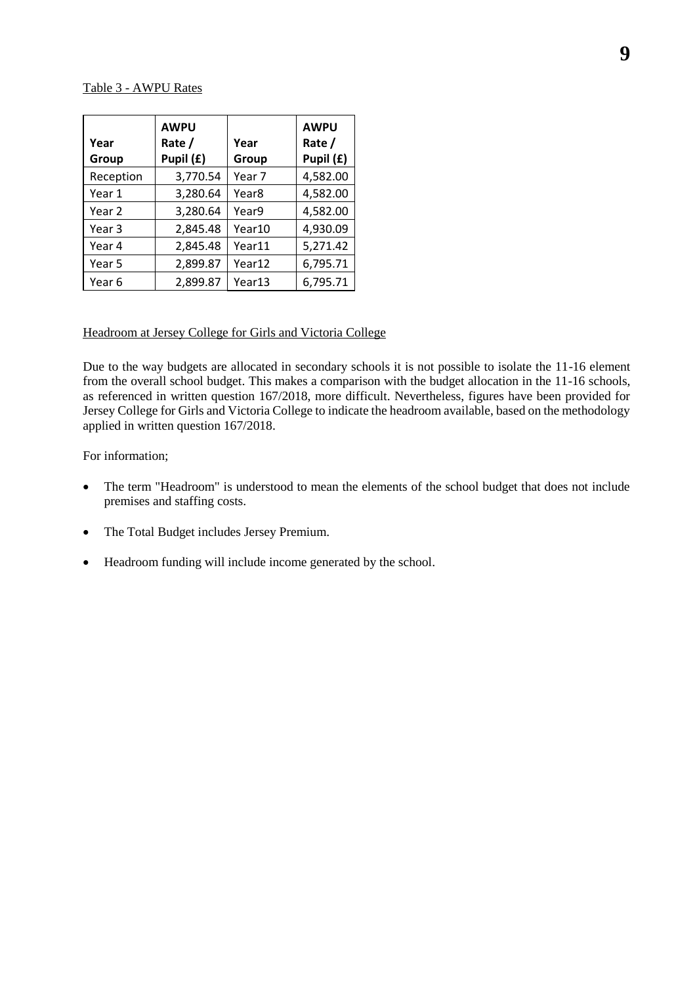#### Table 3 - AWPU Rates

| Year      | <b>AWPU</b><br>Rate / | Year              | <b>AWPU</b><br>Rate / |
|-----------|-----------------------|-------------------|-----------------------|
| Group     | Pupil (£)             | Group             | Pupil (£)             |
| Reception | 3,770.54              | Year 7            | 4,582.00              |
| Year 1    | 3,280.64              | Year <sub>8</sub> | 4,582.00              |
| Year 2    | 3,280.64              | Year9             | 4,582.00              |
| Year 3    | 2,845.48              | Year10            | 4,930.09              |
| Year 4    | 2,845.48              | Year11            | 5,271.42              |
| Year 5    | 2,899.87              | Year12            | 6,795.71              |
| Year 6    | 2,899.87              | Year13            | 6,795.71              |

### Headroom at Jersey College for Girls and Victoria College

Due to the way budgets are allocated in secondary schools it is not possible to isolate the 11-16 element from the overall school budget. This makes a comparison with the budget allocation in the 11-16 schools, as referenced in written question 167/2018, more difficult. Nevertheless, figures have been provided for Jersey College for Girls and Victoria College to indicate the headroom available, based on the methodology applied in written question 167/2018.

For information;

- The term "Headroom" is understood to mean the elements of the school budget that does not include premises and staffing costs.
- The Total Budget includes Jersey Premium.
- Headroom funding will include income generated by the school.